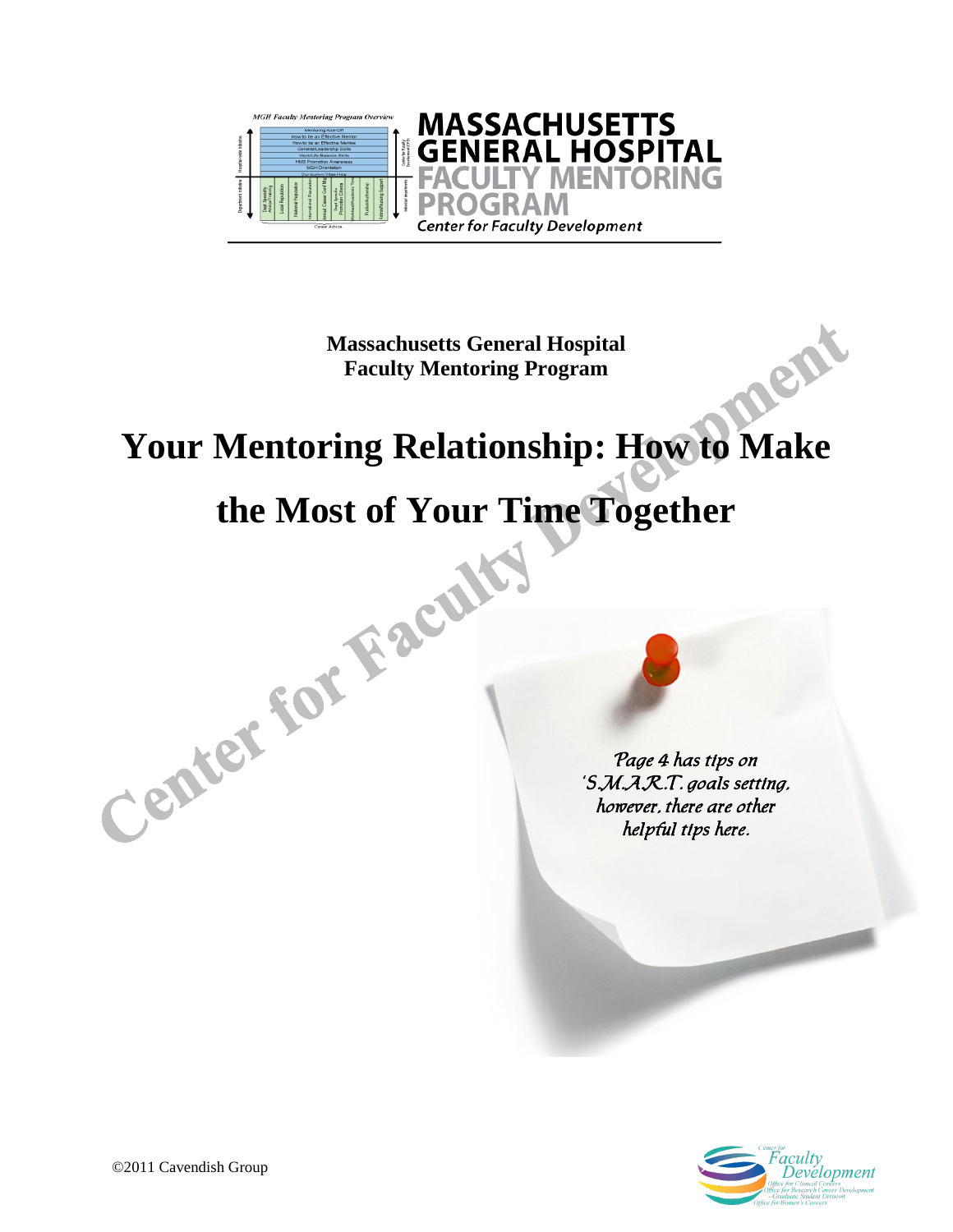

**Massachusetts General Hospital Faculty Mentoring Program**

# nent **Your Mentoring Relationship: How to Make**

# the Most of Your Time Together

Page 4 has tips on 'S.M.A.R.T. goals setting, however, there are other helpful tips here.

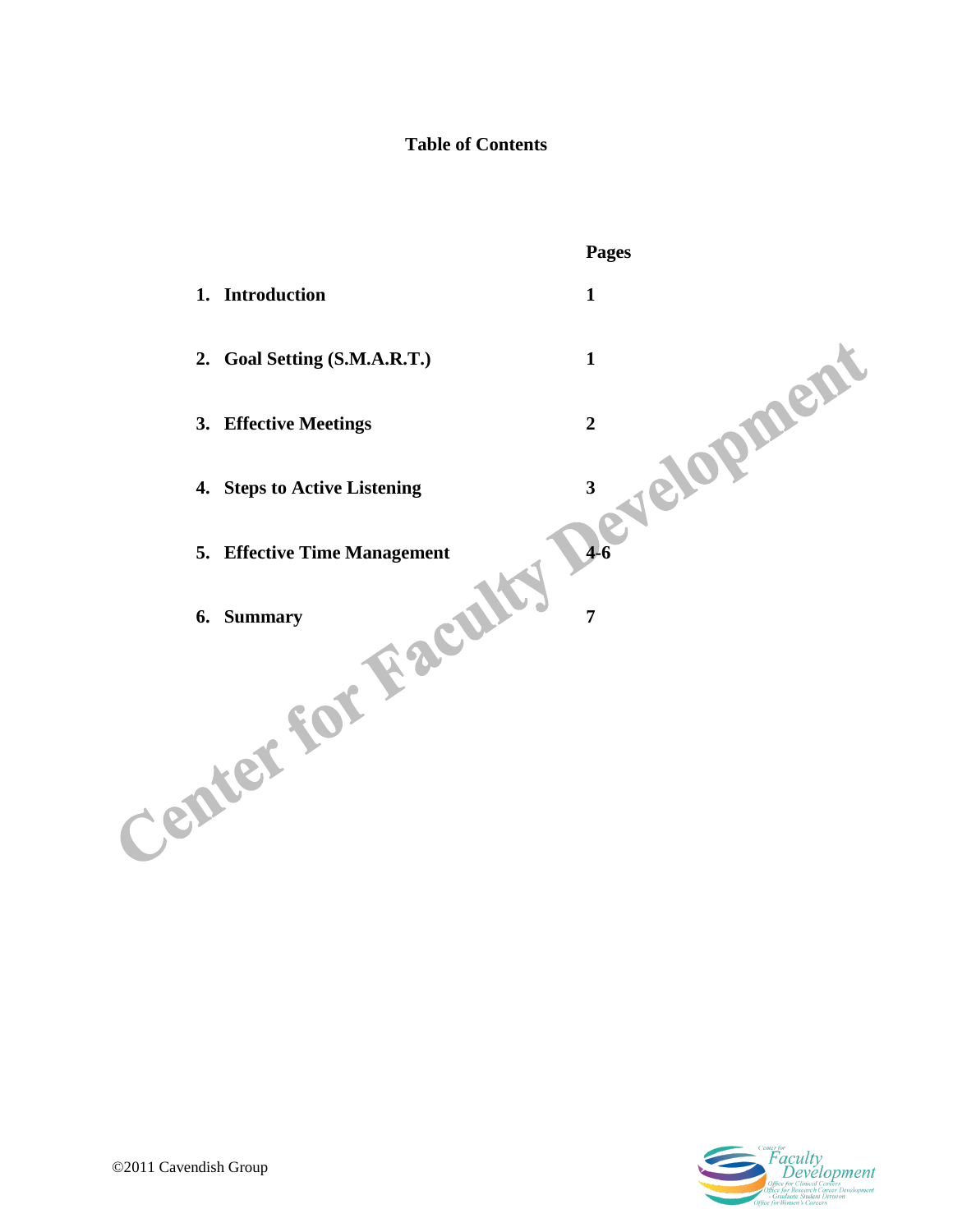# **Table of Contents**



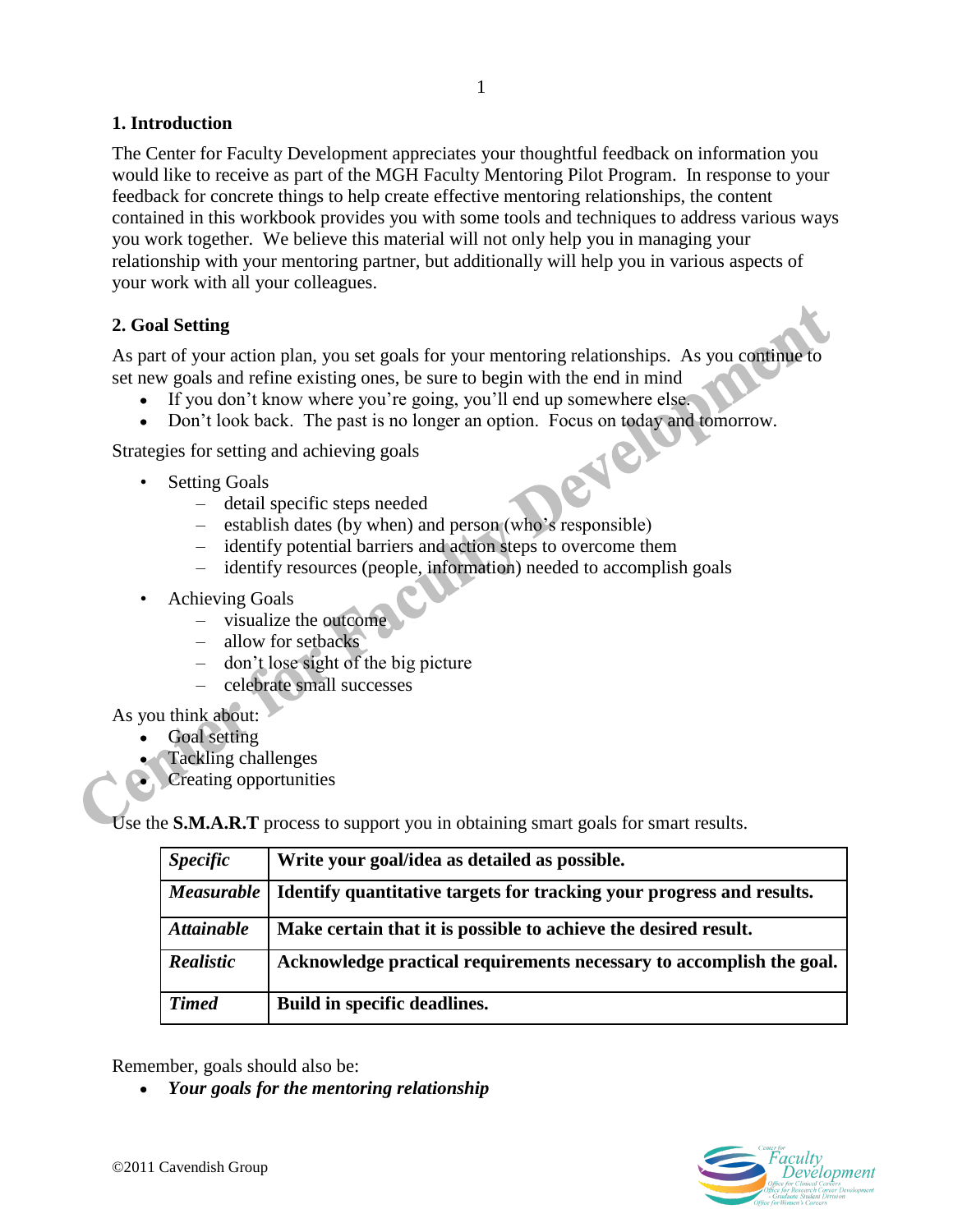# **1. Introduction**

The Center for Faculty Development appreciates your thoughtful feedback on information you would like to receive as part of the MGH Faculty Mentoring Pilot Program. In response to your feedback for concrete things to help create effective mentoring relationships, the content contained in this workbook provides you with some tools and techniques to address various ways you work together. We believe this material will not only help you in managing your relationship with your mentoring partner, but additionally will help you in various aspects of your work with all your colleagues.

# **2. Goal Setting**

As part of your action plan, you set goals for your mentoring relationships. As you continue to set new goals and refine existing ones, be sure to begin with the end in mind

- If you don't know where you're going, you'll end up somewhere else.
- Don't look back. The past is no longer an option. Focus on today and tomorrow.

18

Strategies for setting and achieving goals

- **Setting Goals** 
	- detail specific steps needed
	- establish dates (by when) and person (who's responsible)
	- identify potential barriers and action steps to overcome them
	- identify resources (people, information) needed to accomplish goals
- Achieving Goals
	- visualize the outcome
	- allow for setbacks
	- don't lose sight of the big picture
	- celebrate small successes

As you think about:

- Goal setting
- Tackling challenges
- Creating opportunities

Use the **S.M.A.R.T** process to support you in obtaining smart goals for smart results.

| <i><b>Specific</b></i> | Write your goal/idea as detailed as possible.                         |
|------------------------|-----------------------------------------------------------------------|
| <b>Measurable</b>      | Identify quantitative targets for tracking your progress and results. |
| <b>Attainable</b>      | Make certain that it is possible to achieve the desired result.       |
| Realistic              | Acknowledge practical requirements necessary to accomplish the goal.  |
| <b>Timed</b>           | Build in specific deadlines.                                          |

Remember, goals should also be:

*Your goals for the mentoring relationship*

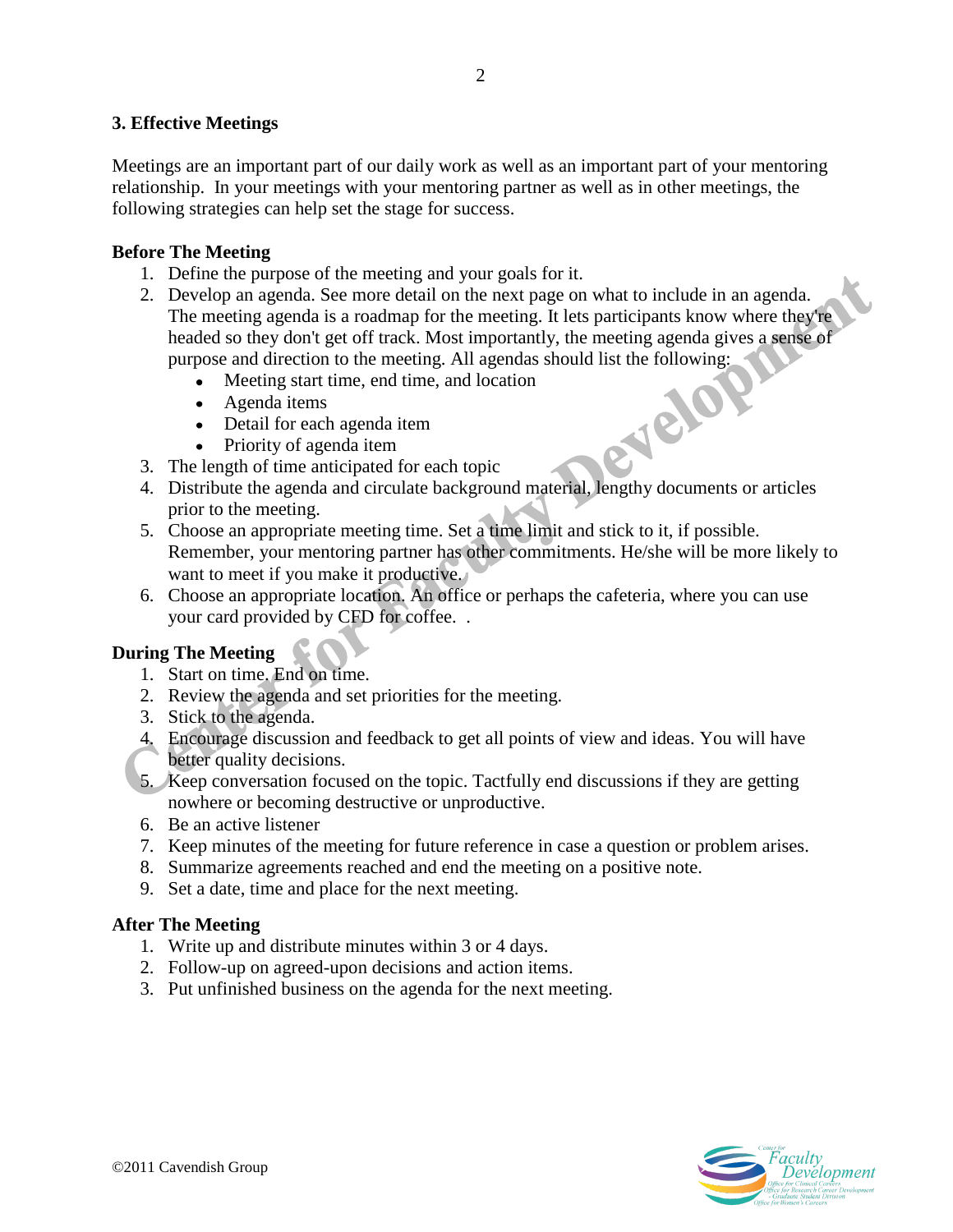# **3. Effective Meetings**

Meetings are an important part of our daily work as well as an important part of your mentoring relationship. In your meetings with your mentoring partner as well as in other meetings, the following strategies can help set the stage for success.

# **Before The Meeting**

- 1. Define the purpose of the meeting and your goals for it.
- 2. Develop an agenda. See more detail on the next page on what to include in an agenda. The meeting agenda is a roadmap for the meeting. It lets participants know where they're headed so they don't get off track. Most importantly, the meeting agenda gives a sense of purpose and direction to the meeting. All agendas should list the following:<br>
• Meeting start time, end time, and location<br>
• Agenda item<br>
• Detail for each agenda item<br>
• Priority of agenda item<br>
The length of time
	- Meeting start time, end time, and location  $\bullet$
	- Agenda items
	- Detail for each agenda item
	- Priority of agenda item
- 3. The length of time anticipated for each topic
- 4. Distribute the agenda and circulate background material, lengthy documents or articles prior to the meeting.
- 5. Choose an appropriate meeting time. Set a time limit and stick to it, if possible. Remember, your mentoring partner has other commitments. He/she will be more likely to want to meet if you make it productive.
- 6. Choose an appropriate location. An office or perhaps the cafeteria, where you can use your card provided by CFD for coffee. .

# **During The Meeting**

- 1. Start on time. End on time.
- 2. Review the agenda and set priorities for the meeting.
- 3. Stick to the agenda.
- 4. Encourage discussion and feedback to get all points of view and ideas. You will have better quality decisions.
- 5. Keep conversation focused on the topic. Tactfully end discussions if they are getting nowhere or becoming destructive or unproductive.
- 6. Be an active listener
- 7. Keep minutes of the meeting for future reference in case a question or problem arises.
- 8. Summarize agreements reached and end the meeting on a positive note.
- 9. Set a date, time and place for the next meeting.

# **After The Meeting**

- 1. Write up and distribute minutes within 3 or 4 days.
- 2. Follow-up on agreed-upon decisions and action items.
- 3. Put unfinished business on the agenda for the next meeting.



2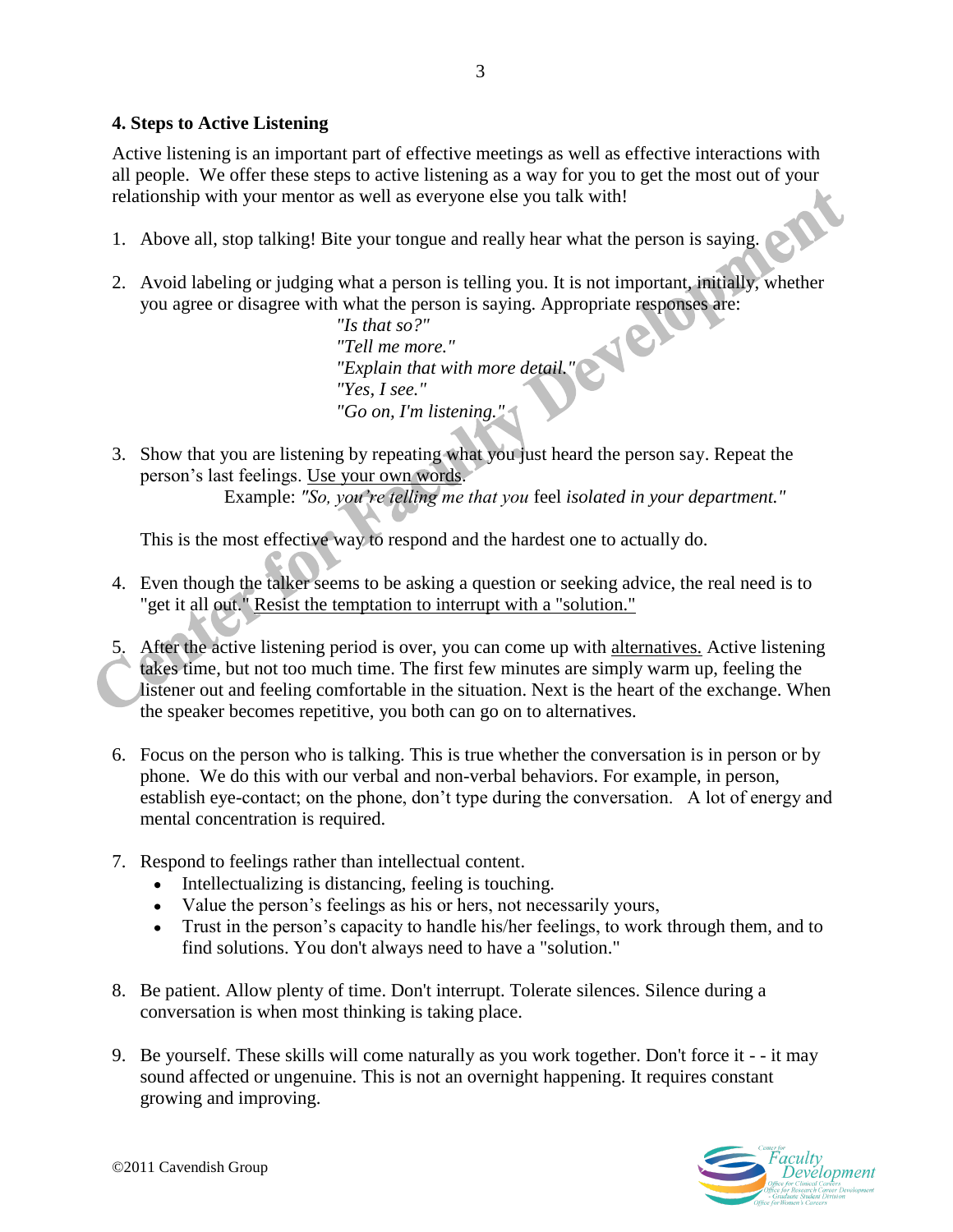# **4. Steps to Active Listening**

Active listening is an important part of effective meetings as well as effective interactions with all people. We offer these steps to active listening as a way for you to get the most out of your relationship with your mentor as well as everyone else you talk with!

- 1. Above all, stop talking! Bite your tongue and really hear what the person is saying.
- 2. Avoid labeling or judging what a person is telling you. It is not important, initially, whether you agree or disagree with what the person is saying. Appropriate responses are:

*"Is that so?" "Tell me more." "Explain that with more detail." "Yes, I see." "Go on, I'm listening."*

3. Show that you are listening by repeating what you just heard the person say. Repeat the person's last feelings. Use your own words.

Example: *"So, you're telling me that you* feel *isolated in your department."*

This is the most effective way to respond and the hardest one to actually do.

- 4. Even though the talker seems to be asking a question or seeking advice, the real need is to "get it all out." Resist the temptation to interrupt with a "solution."
- 5. After the active listening period is over, you can come up with alternatives. Active listening takes time, but not too much time. The first few minutes are simply warm up, feeling the listener out and feeling comfortable in the situation. Next is the heart of the exchange. When the speaker becomes repetitive, you both can go on to alternatives.
- 6. Focus on the person who is talking. This is true whether the conversation is in person or by phone. We do this with our verbal and non-verbal behaviors. For example, in person, establish eye-contact; on the phone, don't type during the conversation. A lot of energy and mental concentration is required.
- 7. Respond to feelings rather than intellectual content.
	- Intellectualizing is distancing, feeling is touching.
	- Value the person's feelings as his or hers, not necessarily yours,
	- Trust in the person's capacity to handle his/her feelings, to work through them, and to find solutions. You don't always need to have a "solution."
- 8. Be patient. Allow plenty of time. Don't interrupt. Tolerate silences. Silence during a conversation is when most thinking is taking place.
- 9. Be yourself. These skills will come naturally as you work together. Don't force it - it may sound affected or ungenuine. This is not an overnight happening. It requires constant growing and improving.

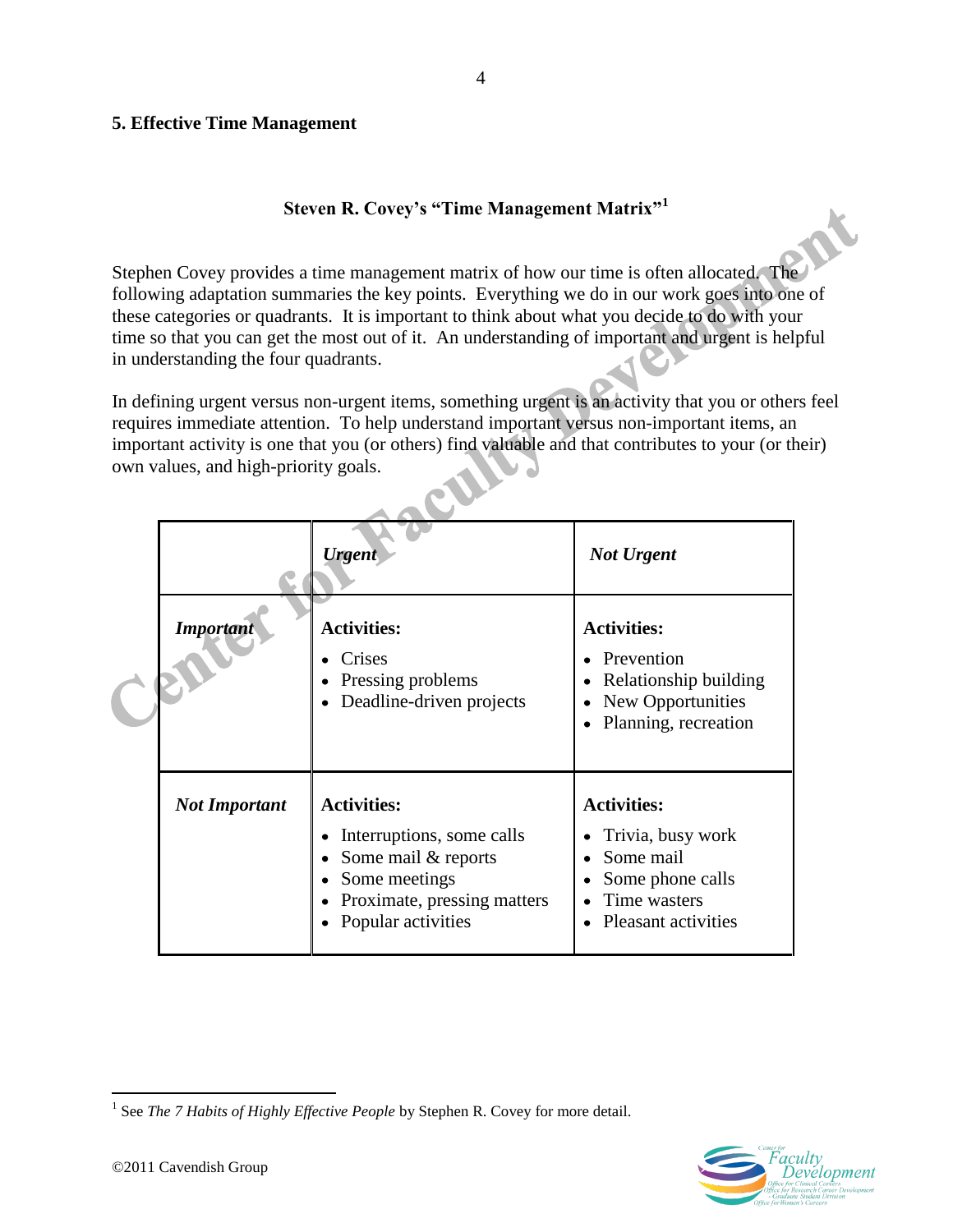# **5. Effective Time Management**

# **Steven R. Covey's "Time Management Matrix"<sup>1</sup>**

Stephen Covey provides a time management matrix of how our time is often allocated. The following adaptation summaries the key points. Everything we do in our work goes into one of these categories or quadrants. It is important to think about what you decide to do with your time so that you can get the most out of it. An understanding of important and urgent is helpful in understanding the four quadrants.

In defining urgent versus non-urgent items, something urgent is an activity that you or others feel requires immediate attention. To help understand important versus non-important items, an important activity is one that you (or others) find valuable and that contributes to your (or their) own values, and high-priority goals.

|                      | <b>Urgent</b>                                                                                                                                                       | <b>Not Urgent</b>                                                                                               |  |  |  |
|----------------------|---------------------------------------------------------------------------------------------------------------------------------------------------------------------|-----------------------------------------------------------------------------------------------------------------|--|--|--|
| <b>Important</b>     | <b>Activities:</b><br>Crises<br>Pressing problems<br>٠<br>Deadline-driven projects<br>$\bullet$                                                                     | <b>Activities:</b><br>Prevention<br>Relationship building<br>New Opportunities<br>Planning, recreation          |  |  |  |
| <b>Not Important</b> | <b>Activities:</b><br>Interruptions, some calls<br>٠<br>Some mail & reports<br>$\bullet$<br>Some meetings<br>٠<br>Proximate, pressing matters<br>Popular activities | <b>Activities:</b><br>Trivia, busy work<br>Some mail<br>Some phone calls<br>Time wasters<br>Pleasant activities |  |  |  |

 $\overline{a}$ <sup>1</sup> See *The 7 Habits of Highly Effective People* by Stephen R. Covey for more detail.



4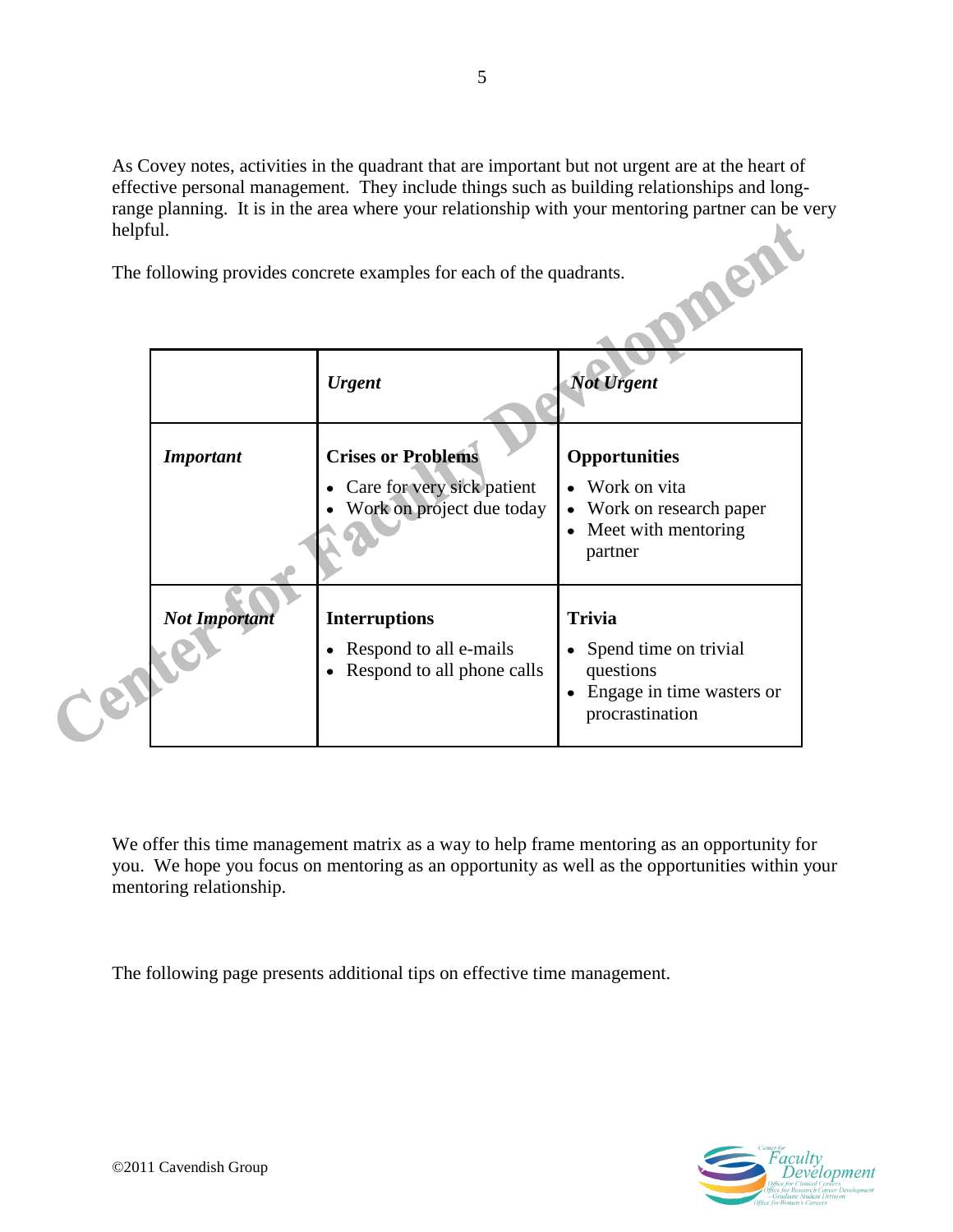As Covey notes, activities in the quadrant that are important but not urgent are at the heart of effective personal management. They include things such as building relationships and longrange planning. It is in the area where your relationship with your mentoring partner can be very helpful.<br>The following provides concrete examples for each of the quadrants. helpful.

The following provides concrete examples for each of the quadrants.

|                      | <b>Urgent</b>                                                                        | <b>Not Urgent</b>                                                                                     |
|----------------------|--------------------------------------------------------------------------------------|-------------------------------------------------------------------------------------------------------|
| <b>Important</b>     | <b>Crises or Problems</b><br>Care for very sick patient<br>Work on project due today | <b>Opportunities</b><br>• Work on vita<br>• Work on research paper<br>Meet with mentoring<br>partner  |
| <b>Not Important</b> | <b>Interruptions</b><br>Respond to all e-mails<br>Respond to all phone calls         | <b>Trivia</b><br>• Spend time on trivial<br>questions<br>Engage in time wasters or<br>procrastination |

We offer this time management matrix as a way to help frame mentoring as an opportunity for you. We hope you focus on mentoring as an opportunity as well as the opportunities within your mentoring relationship.

The following page presents additional tips on effective time management.

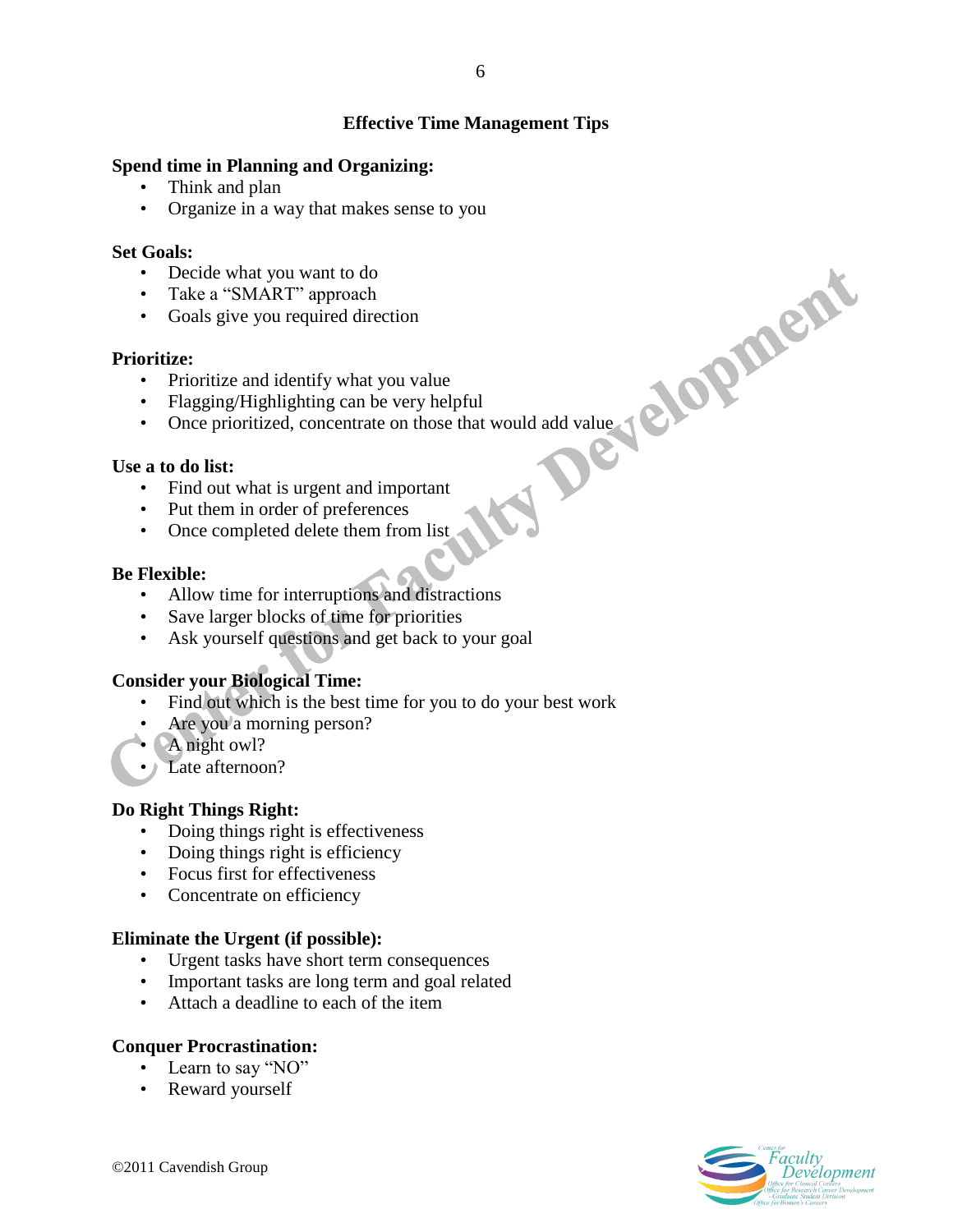# **Effective Time Management Tips**

# **Spend time in Planning and Organizing:**

- Think and plan
- Organize in a way that makes sense to you

#### **Set Goals:**

- Decide what you want to do
- Take a "SMART" approach
- Goals give you required direction

# **Prioritize:**

- Prioritize and identify what you value
- Flagging/Highlighting can be very helpful
- Once prioritized, concentrate on those that would add value

# **Use a to do list:**

- Find out what is urgent and important
- Put them in order of preferences
- Once completed delete them from list

# **Be Flexible:**

- Allow time for interruptions and distractions
- Save larger blocks of time for priorities
- Ask yourself questions and get back to your goal

# **Consider your Biological Time:**

- Find out which is the best time for you to do your best work
- Are you a morning person?
- A night owl?
- Late afternoon?

# **Do Right Things Right:**

- Doing things right is effectiveness
- Doing things right is efficiency
- Focus first for effectiveness
- Concentrate on efficiency

#### **Eliminate the Urgent (if possible):**

- Urgent tasks have short term consequences
- Important tasks are long term and goal related
- Attach a deadline to each of the item

# **Conquer Procrastination:**

- Learn to say "NO"
- Reward yourself